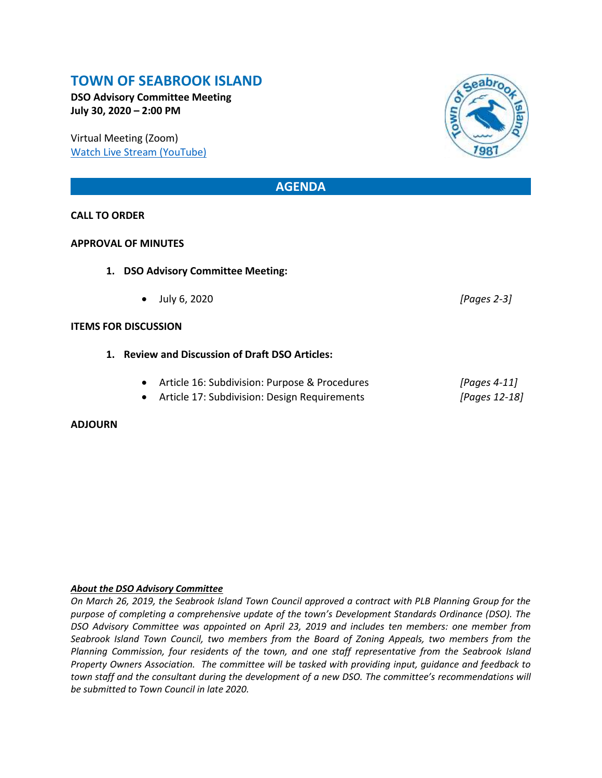## **TOWN OF SEABROOK ISLAND**

**DSO Advisory Committee Meeting July 30, 2020 – 2:00 PM**

Virtual Meeting (Zoom) [Watch Live Stream \(YouTube\)](https://www.youtube.com/channel/UCIkF87knEApHD1q0kGlaGZg)

### **AGENDA**

#### **CALL TO ORDER**

#### **APPROVAL OF MINUTES**

- **1. DSO Advisory Committee Meeting:** 
	- July 6, 2020 *[Pages 2-3]*

#### **ITEMS FOR DISCUSSION**

- **1. Review and Discussion of Draft DSO Articles:**
	- Article 16: Subdivision: Purpose & Procedures *[Pages 4-11]*
	- Article 17: Subdivision: Design Requirements *[Pages 12-18]*

#### **ADJOURN**

#### *About the DSO Advisory Committee*

*On March 26, 2019, the Seabrook Island Town Council approved a contract with PLB Planning Group for the purpose of completing a comprehensive update of the town's Development Standards Ordinance (DSO). The DSO Advisory Committee was appointed on April 23, 2019 and includes ten members: one member from Seabrook Island Town Council, two members from the Board of Zoning Appeals, two members from the Planning Commission, four residents of the town, and one staff representative from the Seabrook Island Property Owners Association. The committee will be tasked with providing input, guidance and feedback to town staff and the consultant during the development of a new DSO. The committee's recommendations will be submitted to Town Council in late 2020.*

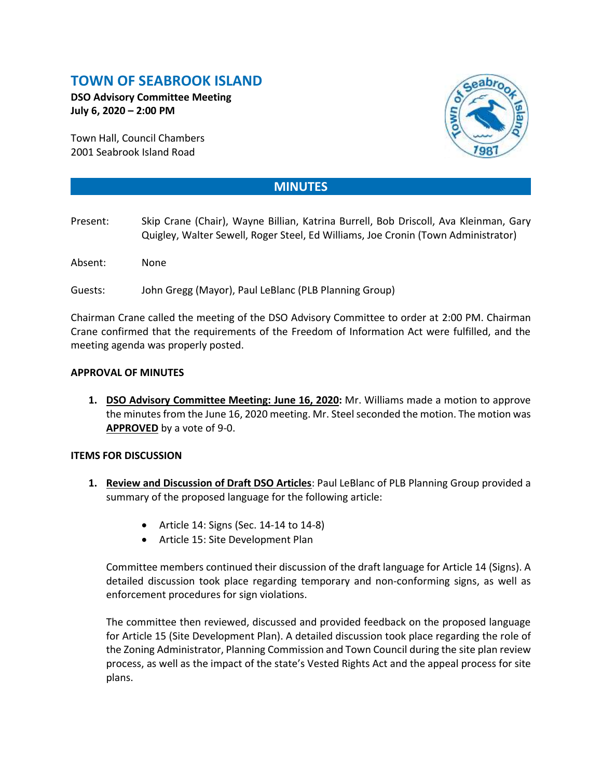# **TOWN OF SEABROOK ISLAND**

**DSO Advisory Committee Meeting July 6, 2020 – 2:00 PM**

Town Hall, Council Chambers 2001 Seabrook Island Road



## **MINUTES**

- Present: Skip Crane (Chair), Wayne Billian, Katrina Burrell, Bob Driscoll, Ava Kleinman, Gary Quigley, Walter Sewell, Roger Steel, Ed Williams, Joe Cronin (Town Administrator)
- Absent: None
- Guests: John Gregg (Mayor), Paul LeBlanc (PLB Planning Group)

Chairman Crane called the meeting of the DSO Advisory Committee to order at 2:00 PM. Chairman Crane confirmed that the requirements of the Freedom of Information Act were fulfilled, and the meeting agenda was properly posted.

#### **APPROVAL OF MINUTES**

**1. DSO Advisory Committee Meeting: June 16, 2020:** Mr. Williams made a motion to approve the minutes from the June 16, 2020 meeting. Mr. Steel seconded the motion. The motion was **APPROVED** by a vote of 9-0.

#### **ITEMS FOR DISCUSSION**

- **1. Review and Discussion of Draft DSO Articles**: Paul LeBlanc of PLB Planning Group provided a summary of the proposed language for the following article:
	- Article 14: Signs (Sec. 14-14 to 14-8)
	- Article 15: Site Development Plan

Committee members continued their discussion of the draft language for Article 14 (Signs). A detailed discussion took place regarding temporary and non-conforming signs, as well as enforcement procedures for sign violations.

The committee then reviewed, discussed and provided feedback on the proposed language for Article 15 (Site Development Plan). A detailed discussion took place regarding the role of the Zoning Administrator, Planning Commission and Town Council during the site plan review process, as well as the impact of the state's Vested Rights Act and the appeal process for site plans.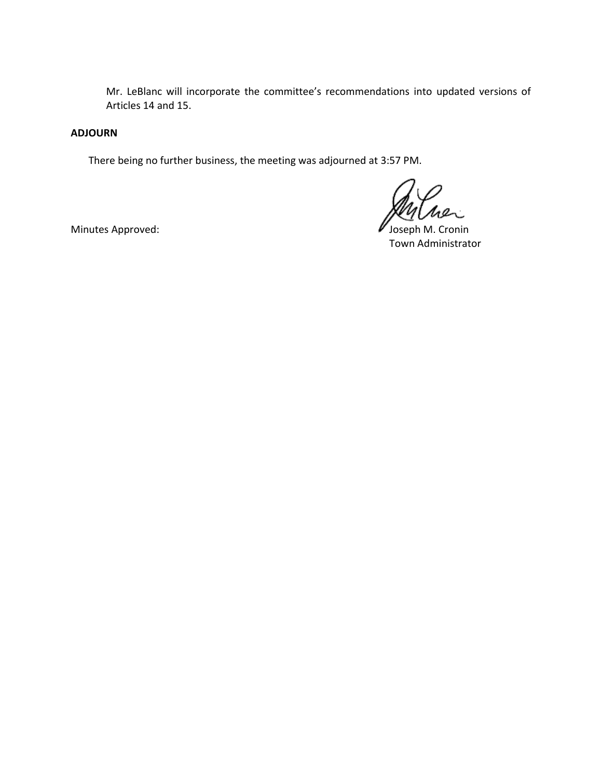Mr. LeBlanc will incorporate the committee's recommendations into updated versions of Articles 14 and 15.

#### **ADJOURN**

There being no further business, the meeting was adjourned at 3:57 PM.

Minutes Approved: **All and Struth Minutes Approved:** All and Minutes Approved: All and Minutes Approved:  $\blacksquare$ Town Administrator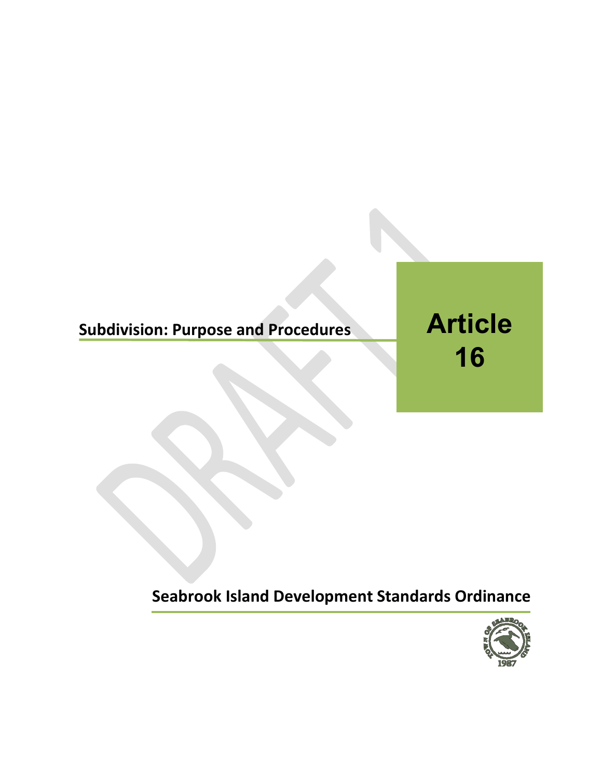# **Subdivision: Purpose and Procedures**

**Article 16**

**Seabrook Island Development Standards Ordinance**

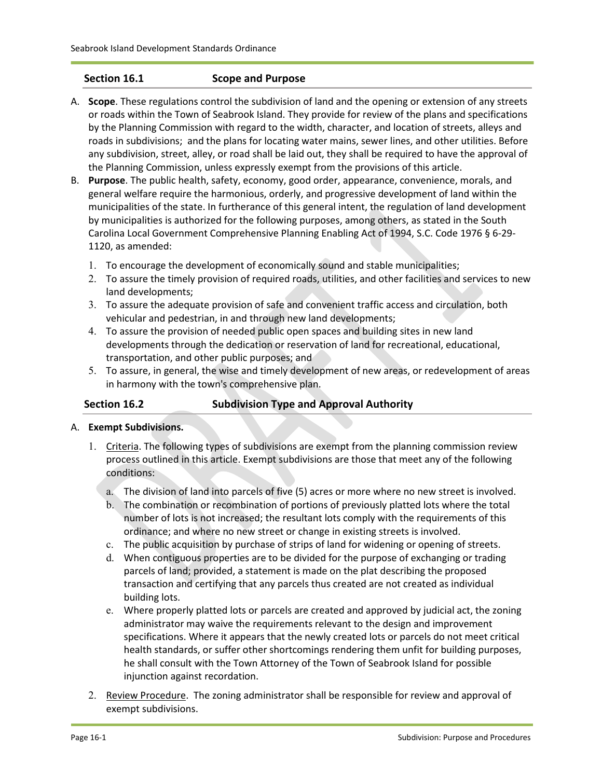#### **Section 16.1 Scope and Purpose**

- A. **Scope**. These regulations control the subdivision of land and the opening or extension of any streets or roads within the Town of Seabrook Island. They provide for review of the plans and specifications by the Planning Commission with regard to the width, character, and location of streets, alleys and roads in subdivisions; and the plans for locating water mains, sewer lines, and other utilities. Before any subdivision, street, alley, or road shall be laid out, they shall be required to have the approval of the Planning Commission, unless expressly exempt from the provisions of this article.
- B. **Purpose**. The public health, safety, economy, good order, appearance, convenience, morals, and general welfare require the harmonious, orderly, and progressive development of land within the municipalities of the state. In furtherance of this general intent, the regulation of land development by municipalities is authorized for the following purposes, among others, as stated in the South Carolina Local Government Comprehensive Planning Enabling Act of 1994, S.C. Code 1976 § 6-29- 1120, as amended:
	- 1. To encourage the development of economically sound and stable municipalities;
	- 2. To assure the timely provision of required roads, utilities, and other facilities and services to new land developments;
	- 3. To assure the adequate provision of safe and convenient traffic access and circulation, both vehicular and pedestrian, in and through new land developments;
	- 4. To assure the provision of needed public open spaces and building sites in new land developments through the dedication or reservation of land for recreational, educational, transportation, and other public purposes; and
	- 5. To assure, in general, the wise and timely development of new areas, or redevelopment of areas in harmony with the town's comprehensive plan.

#### **Section 16.2 Subdivision Type and Approval Authority**

- A. **Exempt Subdivisions.**
	- 1. Criteria. The following types of subdivisions are exempt from the planning commission review process outlined in this article. Exempt subdivisions are those that meet any of the following conditions:
		- a. The division of land into parcels of five (5) acres or more where no new street is involved.
		- b. The combination or recombination of portions of previously platted lots where the total number of lots is not increased; the resultant lots comply with the requirements of this ordinance; and where no new street or change in existing streets is involved.
		- c. The public acquisition by purchase of strips of land for widening or opening of streets.
		- d. When contiguous properties are to be divided for the purpose of exchanging or trading parcels of land; provided, a statement is made on the plat describing the proposed transaction and certifying that any parcels thus created are not created as individual building lots.
		- e. Where properly platted lots or parcels are created and approved by judicial act, the zoning administrator may waive the requirements relevant to the design and improvement specifications. Where it appears that the newly created lots or parcels do not meet critical health standards, or suffer other shortcomings rendering them unfit for building purposes, he shall consult with the Town Attorney of the Town of Seabrook Island for possible injunction against recordation.
	- 2. Review Procedure. The zoning administrator shall be responsible for review and approval of exempt subdivisions.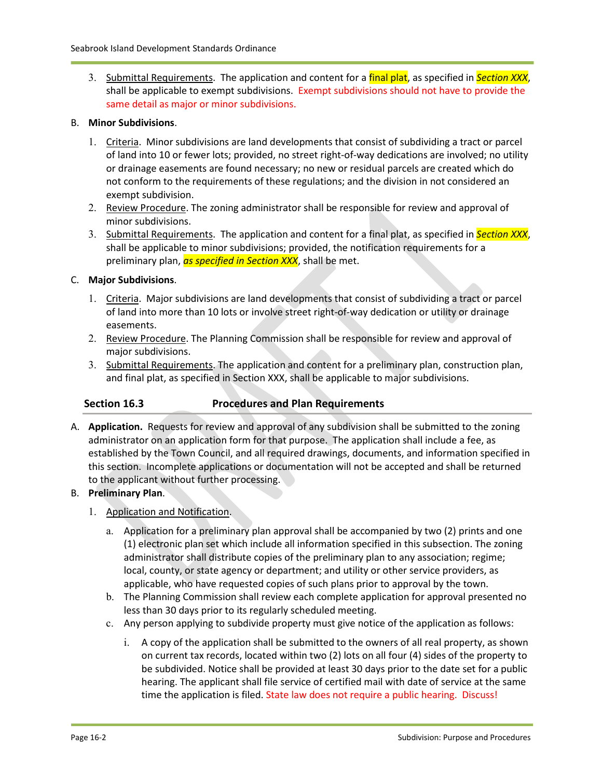3. Submittal Requirements. The application and content for a final plat, as specified in *Section XXX*, shall be applicable to exempt subdivisions. Exempt subdivisions should not have to provide the same detail as major or minor subdivisions.

#### B. **Minor Subdivisions**.

- 1. Criteria. Minor subdivisions are land developments that consist of subdividing a tract or parcel of land into 10 or fewer lots; provided, no street right-of-way dedications are involved; no utility or drainage easements are found necessary; no new or residual parcels are created which do not conform to the requirements of these regulations; and the division in not considered an exempt subdivision.
- 2. Review Procedure. The zoning administrator shall be responsible for review and approval of minor subdivisions.
- 3. Submittal Requirements. The application and content for a final plat, as specified in *Section XXX*, shall be applicable to minor subdivisions; provided, the notification requirements for a preliminary plan, *as specified in Section XXX*, shall be met.

#### C. **Major Subdivisions**.

- 1. Criteria. Major subdivisions are land developments that consist of subdividing a tract or parcel of land into more than 10 lots or involve street right-of-way dedication or utility or drainage easements.
- 2. Review Procedure. The Planning Commission shall be responsible for review and approval of major subdivisions.
- 3. Submittal Requirements. The application and content for a preliminary plan, construction plan, and final plat, as specified in Section XXX, shall be applicable to major subdivisions.

#### **Section 16.3 Procedures and Plan Requirements**

A. **Application.** Requests for review and approval of any subdivision shall be submitted to the zoning administrator on an application form for that purpose. The application shall include a fee, as established by the Town Council, and all required drawings, documents, and information specified in this section. Incomplete applications or documentation will not be accepted and shall be returned to the applicant without further processing.

#### B. **Preliminary Plan**.

- 1. Application and Notification.
	- a. Application for a preliminary plan approval shall be accompanied by two (2) prints and one (1) electronic plan set which include all information specified in this subsection. The zoning administrator shall distribute copies of the preliminary plan to any association; regime; local, county, or state agency or department; and utility or other service providers, as applicable, who have requested copies of such plans prior to approval by the town.
	- b. The Planning Commission shall review each complete application for approval presented no less than 30 days prior to its regularly scheduled meeting.
	- c. Any person applying to subdivide property must give notice of the application as follows:
		- i. A copy of the application shall be submitted to the owners of all real property, as shown on current tax records, located within two (2) lots on all four (4) sides of the property to be subdivided. Notice shall be provided at least 30 days prior to the date set for a public hearing. The applicant shall file service of certified mail with date of service at the same time the application is filed. State law does not require a public hearing. Discuss!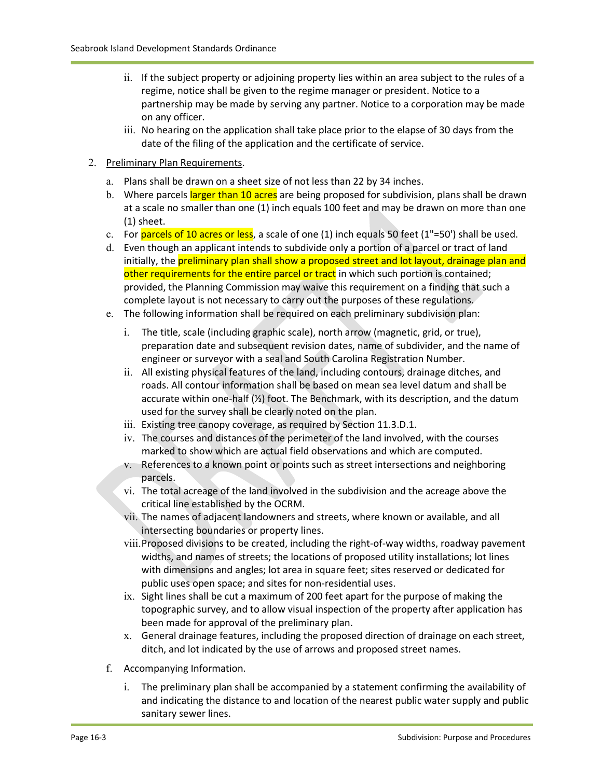- ii. If the subject property or adjoining property lies within an area subject to the rules of a regime, notice shall be given to the regime manager or president. Notice to a partnership may be made by serving any partner. Notice to a corporation may be made on any officer.
- iii. No hearing on the application shall take place prior to the elapse of 30 days from the date of the filing of the application and the certificate of service.

#### 2. Preliminary Plan Requirements.

- a. Plans shall be drawn on a sheet size of not less than 22 by 34 inches.
- b. Where parcels larger than 10 acres are being proposed for subdivision, plans shall be drawn at a scale no smaller than one (1) inch equals 100 feet and may be drawn on more than one (1) sheet.
- c. For **parcels of 10 acres or less**, a scale of one  $(1)$  inch equals 50 feet  $(1"=\overline{50})$  shall be used.
- d. Even though an applicant intends to subdivide only a portion of a parcel or tract of land initially, the **preliminary plan shall show a proposed street and lot layout, drainage plan and** other requirements for the entire parcel or tract in which such portion is contained; provided, the Planning Commission may waive this requirement on a finding that such a complete layout is not necessary to carry out the purposes of these regulations.
- e. The following information shall be required on each preliminary subdivision plan:
	- i. The title, scale (including graphic scale), north arrow (magnetic, grid, or true), preparation date and subsequent revision dates, name of subdivider, and the name of engineer or surveyor with a seal and South Carolina Registration Number.
	- ii. All existing physical features of the land, including contours, drainage ditches, and roads. All contour information shall be based on mean sea level datum and shall be accurate within one-half  $\left(\frac{1}{2}\right)$  foot. The Benchmark, with its description, and the datum used for the survey shall be clearly noted on the plan.
	- iii. Existing tree canopy coverage, as required by Section 11.3.D.1.
	- iv. The courses and distances of the perimeter of the land involved, with the courses marked to show which are actual field observations and which are computed.
	- v. References to a known point or points such as street intersections and neighboring parcels.
	- vi. The total acreage of the land involved in the subdivision and the acreage above the critical line established by the OCRM.
	- vii. The names of adjacent landowners and streets, where known or available, and all intersecting boundaries or property lines.
	- viii.Proposed divisions to be created, including the right-of-way widths, roadway pavement widths, and names of streets; the locations of proposed utility installations; lot lines with dimensions and angles; lot area in square feet; sites reserved or dedicated for public uses open space; and sites for non-residential uses.
	- ix. Sight lines shall be cut a maximum of 200 feet apart for the purpose of making the topographic survey, and to allow visual inspection of the property after application has been made for approval of the preliminary plan.
	- x. General drainage features, including the proposed direction of drainage on each street, ditch, and lot indicated by the use of arrows and proposed street names.
- f. Accompanying Information.
	- i. The preliminary plan shall be accompanied by a statement confirming the availability of and indicating the distance to and location of the nearest public water supply and public sanitary sewer lines.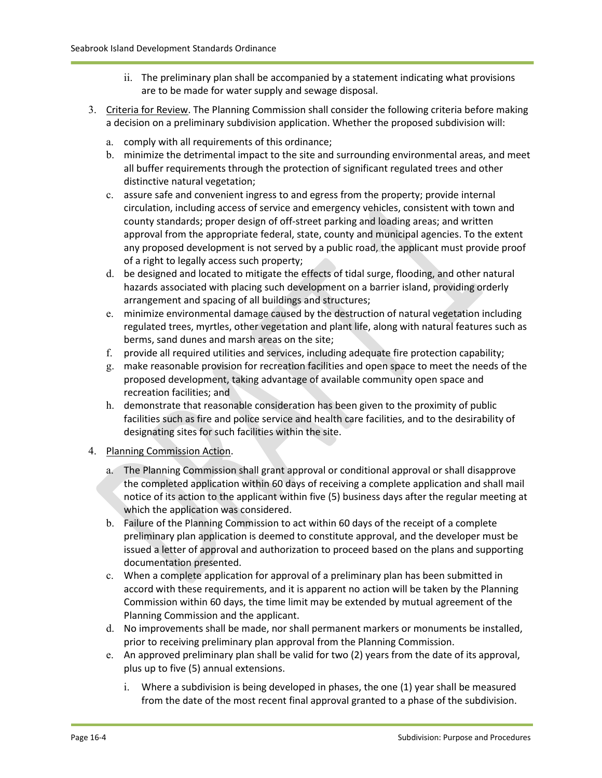- ii. The preliminary plan shall be accompanied by a statement indicating what provisions are to be made for water supply and sewage disposal.
- 3. Criteria for Review. The Planning Commission shall consider the following criteria before making a decision on a preliminary subdivision application. Whether the proposed subdivision will:
	- a. comply with all requirements of this ordinance;
	- b. minimize the detrimental impact to the site and surrounding environmental areas, and meet all buffer requirements through the protection of significant regulated trees and other distinctive natural vegetation;
	- c. assure safe and convenient ingress to and egress from the property; provide internal circulation, including access of service and emergency vehicles, consistent with town and county standards; proper design of off-street parking and loading areas; and written approval from the appropriate federal, state, county and municipal agencies. To the extent any proposed development is not served by a public road, the applicant must provide proof of a right to legally access such property;
	- d. be designed and located to mitigate the effects of tidal surge, flooding, and other natural hazards associated with placing such development on a barrier island, providing orderly arrangement and spacing of all buildings and structures;
	- e. minimize environmental damage caused by the destruction of natural vegetation including regulated trees, myrtles, other vegetation and plant life, along with natural features such as berms, sand dunes and marsh areas on the site;
	- f. provide all required utilities and services, including adequate fire protection capability;
	- g. make reasonable provision for recreation facilities and open space to meet the needs of the proposed development, taking advantage of available community open space and recreation facilities; and
	- h. demonstrate that reasonable consideration has been given to the proximity of public facilities such as fire and police service and health care facilities, and to the desirability of designating sites for such facilities within the site.
- 4. Planning Commission Action.
	- a. The Planning Commission shall grant approval or conditional approval or shall disapprove the completed application within 60 days of receiving a complete application and shall mail notice of its action to the applicant within five (5) business days after the regular meeting at which the application was considered.
	- b. Failure of the Planning Commission to act within 60 days of the receipt of a complete preliminary plan application is deemed to constitute approval, and the developer must be issued a letter of approval and authorization to proceed based on the plans and supporting documentation presented.
	- c. When a complete application for approval of a preliminary plan has been submitted in accord with these requirements, and it is apparent no action will be taken by the Planning Commission within 60 days, the time limit may be extended by mutual agreement of the Planning Commission and the applicant.
	- d. No improvements shall be made, nor shall permanent markers or monuments be installed, prior to receiving preliminary plan approval from the Planning Commission.
	- e. An approved preliminary plan shall be valid for two (2) years from the date of its approval, plus up to five (5) annual extensions.
		- i. Where a subdivision is being developed in phases, the one (1) year shall be measured from the date of the most recent final approval granted to a phase of the subdivision.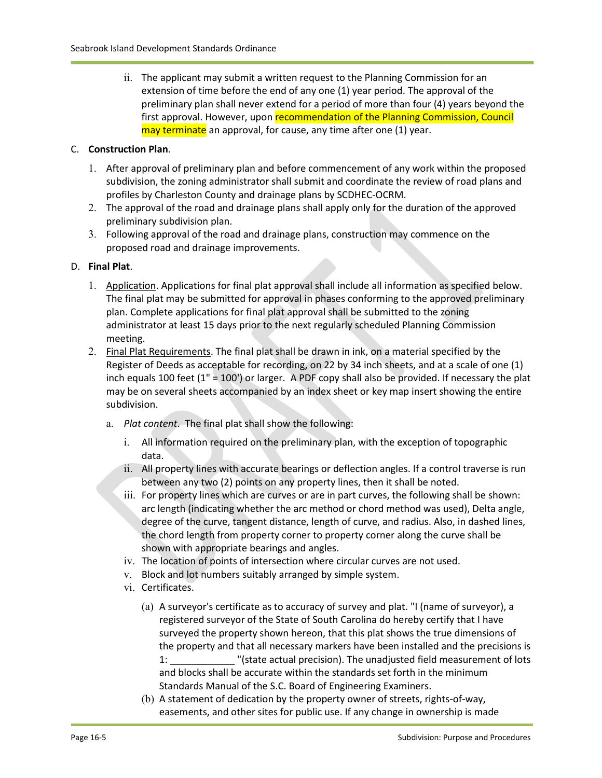ii. The applicant may submit a written request to the Planning Commission for an extension of time before the end of any one (1) year period. The approval of the preliminary plan shall never extend for a period of more than four (4) years beyond the first approval. However, upon recommendation of the Planning Commission, Council may terminate an approval, for cause, any time after one (1) year.

#### C. **Construction Plan**.

- 1. After approval of preliminary plan and before commencement of any work within the proposed subdivision, the zoning administrator shall submit and coordinate the review of road plans and profiles by Charleston County and drainage plans by SCDHEC-OCRM.
- 2. The approval of the road and drainage plans shall apply only for the duration of the approved preliminary subdivision plan.
- 3. Following approval of the road and drainage plans, construction may commence on the proposed road and drainage improvements.

#### D. **Final Plat**.

- 1. Application. Applications for final plat approval shall include all information as specified below. The final plat may be submitted for approval in phases conforming to the approved preliminary plan. Complete applications for final plat approval shall be submitted to the zoning administrator at least 15 days prior to the next regularly scheduled Planning Commission meeting.
- 2. Final Plat Requirements. The final plat shall be drawn in ink, on a material specified by the Register of Deeds as acceptable for recording, on 22 by 34 inch sheets, and at a scale of one (1) inch equals 100 feet (1" = 100') or larger. A PDF copy shall also be provided. If necessary the plat may be on several sheets accompanied by an index sheet or key map insert showing the entire subdivision.
	- a. *Plat content*. The final plat shall show the following:
		- i. All information required on the preliminary plan, with the exception of topographic data.
		- ii. All property lines with accurate bearings or deflection angles. If a control traverse is run between any two (2) points on any property lines, then it shall be noted.
		- iii. For property lines which are curves or are in part curves, the following shall be shown: arc length (indicating whether the arc method or chord method was used), Delta angle, degree of the curve, tangent distance, length of curve, and radius. Also, in dashed lines, the chord length from property corner to property corner along the curve shall be shown with appropriate bearings and angles.
		- iv. The location of points of intersection where circular curves are not used.
		- v. Block and lot numbers suitably arranged by simple system.
		- vi. Certificates.
			- (a) A surveyor's certificate as to accuracy of survey and plat. "I (name of surveyor), a registered surveyor of the State of South Carolina do hereby certify that I have surveyed the property shown hereon, that this plat shows the true dimensions of the property and that all necessary markers have been installed and the precisions is 1: \_\_\_\_\_\_\_\_\_\_\_\_ "(state actual precision). The unadjusted field measurement of lots and blocks shall be accurate within the standards set forth in the minimum Standards Manual of the S.C. Board of Engineering Examiners.
			- (b) A statement of dedication by the property owner of streets, rights-of-way, easements, and other sites for public use. If any change in ownership is made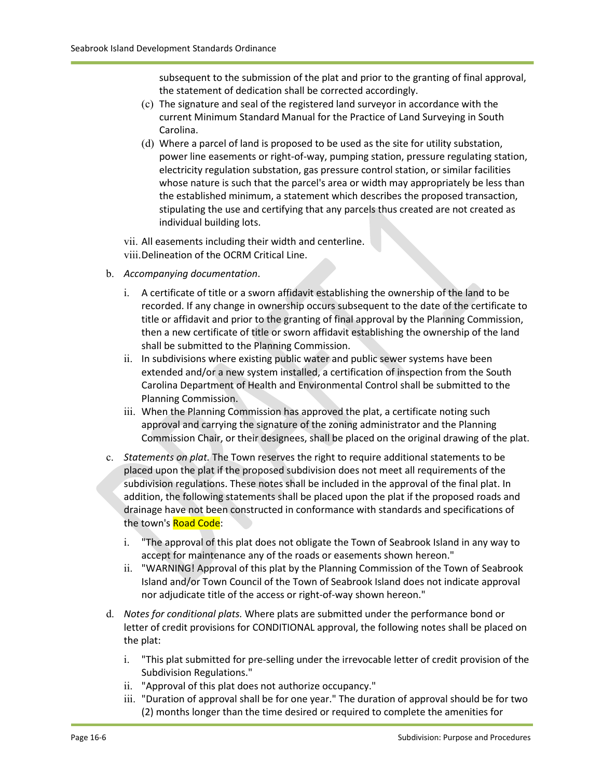subsequent to the submission of the plat and prior to the granting of final approval, the statement of dedication shall be corrected accordingly.

- (c) The signature and seal of the registered land surveyor in accordance with the current Minimum Standard Manual for the Practice of Land Surveying in South Carolina.
- (d) Where a parcel of land is proposed to be used as the site for utility substation, power line easements or right-of-way, pumping station, pressure regulating station, electricity regulation substation, gas pressure control station, or similar facilities whose nature is such that the parcel's area or width may appropriately be less than the established minimum, a statement which describes the proposed transaction, stipulating the use and certifying that any parcels thus created are not created as individual building lots.
- vii. All easements including their width and centerline.
- viii.Delineation of the OCRM Critical Line.
- b. *Accompanying documentation*.
	- i. A certificate of title or a sworn affidavit establishing the ownership of the land to be recorded. If any change in ownership occurs subsequent to the date of the certificate to title or affidavit and prior to the granting of final approval by the Planning Commission, then a new certificate of title or sworn affidavit establishing the ownership of the land shall be submitted to the Planning Commission.
	- ii. In subdivisions where existing public water and public sewer systems have been extended and/or a new system installed, a certification of inspection from the South Carolina Department of Health and Environmental Control shall be submitted to the Planning Commission.
	- iii. When the Planning Commission has approved the plat, a certificate noting such approval and carrying the signature of the zoning administrator and the Planning Commission Chair, or their designees, shall be placed on the original drawing of the plat.
- c. *Statements on plat.* The Town reserves the right to require additional statements to be placed upon the plat if the proposed subdivision does not meet all requirements of the subdivision regulations. These notes shall be included in the approval of the final plat. In addition, the following statements shall be placed upon the plat if the proposed roads and drainage have not been constructed in conformance with standards and specifications of the town's Road Code:
	- i. "The approval of this plat does not obligate the Town of Seabrook Island in any way to accept for maintenance any of the roads or easements shown hereon."
	- ii. "WARNING! Approval of this plat by the Planning Commission of the Town of Seabrook Island and/or Town Council of the Town of Seabrook Island does not indicate approval nor adjudicate title of the access or right-of-way shown hereon."
- d. *Notes for conditional plats.* Where plats are submitted under the performance bond or letter of credit provisions for CONDITIONAL approval, the following notes shall be placed on the plat:
	- i. "This plat submitted for pre-selling under the irrevocable letter of credit provision of the Subdivision Regulations."
	- ii. "Approval of this plat does not authorize occupancy."
	- iii. "Duration of approval shall be for one year." The duration of approval should be for two (2) months longer than the time desired or required to complete the amenities for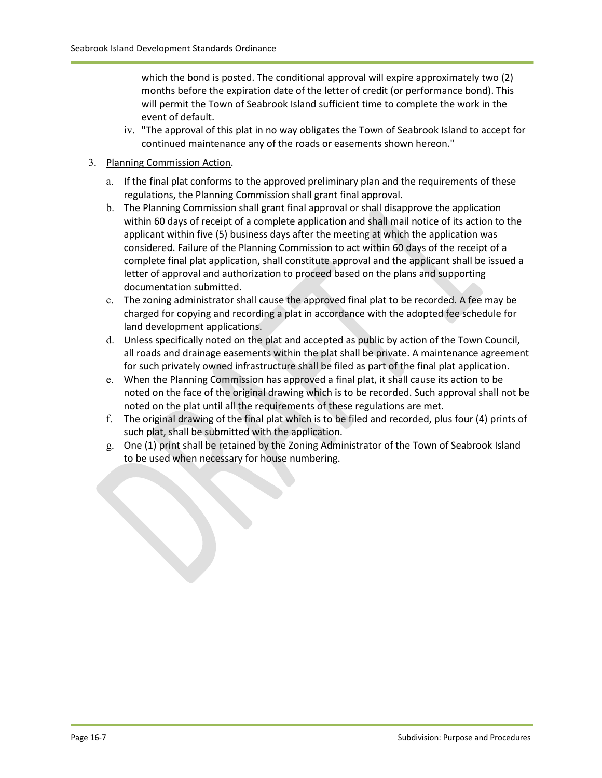which the bond is posted. The conditional approval will expire approximately two (2) months before the expiration date of the letter of credit (or performance bond). This will permit the Town of Seabrook Island sufficient time to complete the work in the event of default.

iv. "The approval of this plat in no way obligates the Town of Seabrook Island to accept for continued maintenance any of the roads or easements shown hereon."

#### 3. Planning Commission Action.

- a. If the final plat conforms to the approved preliminary plan and the requirements of these regulations, the Planning Commission shall grant final approval.
- b. The Planning Commission shall grant final approval or shall disapprove the application within 60 days of receipt of a complete application and shall mail notice of its action to the applicant within five (5) business days after the meeting at which the application was considered. Failure of the Planning Commission to act within 60 days of the receipt of a complete final plat application, shall constitute approval and the applicant shall be issued a letter of approval and authorization to proceed based on the plans and supporting documentation submitted.
- c. The zoning administrator shall cause the approved final plat to be recorded. A fee may be charged for copying and recording a plat in accordance with the adopted fee schedule for land development applications.
- d. Unless specifically noted on the plat and accepted as public by action of the Town Council, all roads and drainage easements within the plat shall be private. A maintenance agreement for such privately owned infrastructure shall be filed as part of the final plat application.
- e. When the Planning Commission has approved a final plat, it shall cause its action to be noted on the face of the original drawing which is to be recorded. Such approval shall not be noted on the plat until all the requirements of these regulations are met.
- f. The original drawing of the final plat which is to be filed and recorded, plus four (4) prints of such plat, shall be submitted with the application.
- g. One (1) print shall be retained by the Zoning Administrator of the Town of Seabrook Island to be used when necessary for house numbering.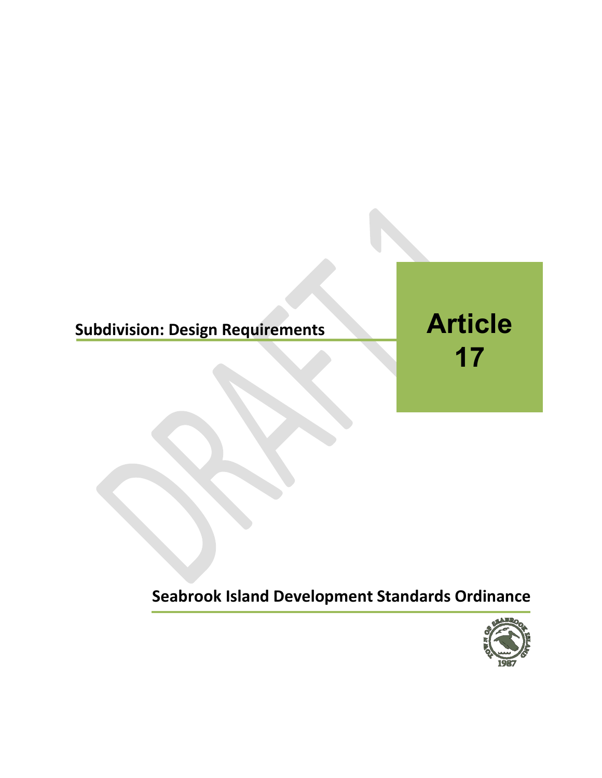# **Subdivision: Design Requirements**

**Article 17**

**Seabrook Island Development Standards Ordinance**

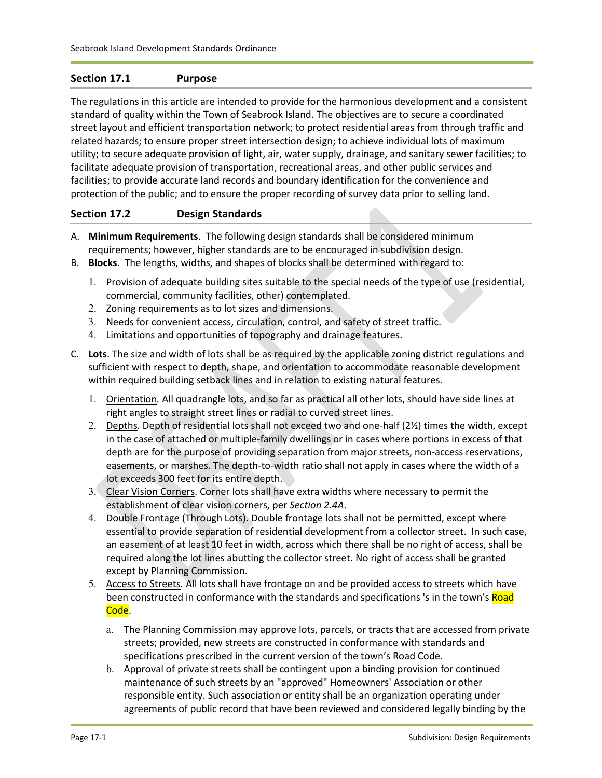#### **Section 17.1 Purpose**

The regulations in this article are intended to provide for the harmonious development and a consistent standard of quality within the Town of Seabrook Island. The objectives are to secure a coordinated street layout and efficient transportation network; to protect residential areas from through traffic and related hazards; to ensure proper street intersection design; to achieve individual lots of maximum utility; to secure adequate provision of light, air, water supply, drainage, and sanitary sewer facilities; to facilitate adequate provision of transportation, recreational areas, and other public services and facilities; to provide accurate land records and boundary identification for the convenience and protection of the public; and to ensure the proper recording of survey data prior to selling land.

#### **Section 17.2 Design Standards**

- A. **Minimum Requirements**. The following design standards shall be considered minimum requirements; however, higher standards are to be encouraged in subdivision design.
- B. **Blocks**. The lengths, widths, and shapes of blocks shall be determined with regard to:
	- 1. Provision of adequate building sites suitable to the special needs of the type of use (residential, commercial, community facilities, other) contemplated.
	- 2. Zoning requirements as to lot sizes and dimensions.
	- 3. Needs for convenient access, circulation, control, and safety of street traffic.
	- 4. Limitations and opportunities of topography and drainage features.
- C. **Lots**. The size and width of lots shall be as required by the applicable zoning district regulations and sufficient with respect to depth, shape, and orientation to accommodate reasonable development within required building setback lines and in relation to existing natural features.
	- 1. Orientation*.* All quadrangle lots, and so far as practical all other lots, should have side lines at right angles to straight street lines or radial to curved street lines.
	- 2. Depths*.* Depth of residential lots shall not exceed two and one-half (2½) times the width, except in the case of attached or multiple-family dwellings or in cases where portions in excess of that depth are for the purpose of providing separation from major streets, non-access reservations, easements, or marshes. The depth-to-width ratio shall not apply in cases where the width of a lot exceeds 300 feet for its entire depth.
	- 3. Clear Vision Corners. Corner lots shall have extra widths where necessary to permit the establishment of clear vision corners, per *Section 2.4A*.
	- 4. Double Frontage (Through Lots)*.* Double frontage lots shall not be permitted, except where essential to provide separation of residential development from a collector street. In such case, an easement of at least 10 feet in width, across which there shall be no right of access, shall be required along the lot lines abutting the collector street. No right of access shall be granted except by Planning Commission.
	- 5. Access to Streets*.* All lots shall have frontage on and be provided access to streets which have been constructed in conformance with the standards and specifications 's in the town's Road Code.
		- a. The Planning Commission may approve lots, parcels, or tracts that are accessed from private streets; provided, new streets are constructed in conformance with standards and specifications prescribed in the current version of the town's Road Code.
		- b. Approval of private streets shall be contingent upon a binding provision for continued maintenance of such streets by an "approved" Homeowners' Association or other responsible entity. Such association or entity shall be an organization operating under agreements of public record that have been reviewed and considered legally binding by the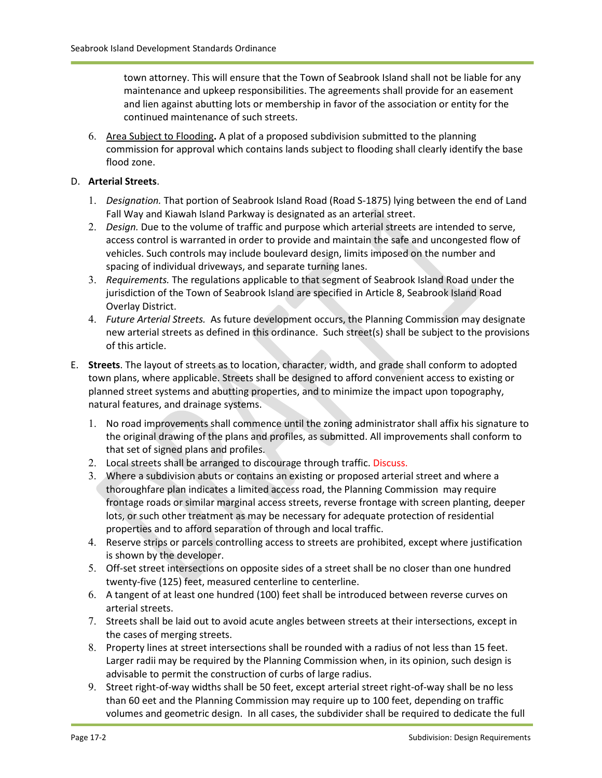town attorney. This will ensure that the Town of Seabrook Island shall not be liable for any maintenance and upkeep responsibilities. The agreements shall provide for an easement and lien against abutting lots or membership in favor of the association or entity for the continued maintenance of such streets.

6. Area Subject to Flooding**.** A plat of a proposed subdivision submitted to the planning commission for approval which contains lands subject to flooding shall clearly identify the base flood zone.

#### D. **Arterial Streets**.

- 1. *Designation.* That portion of Seabrook Island Road (Road S-1875) lying between the end of Land Fall Way and Kiawah Island Parkway is designated as an arterial street.
- 2. *Design.* Due to the volume of traffic and purpose which arterial streets are intended to serve, access control is warranted in order to provide and maintain the safe and uncongested flow of vehicles. Such controls may include boulevard design, limits imposed on the number and spacing of individual driveways, and separate turning lanes.
- 3. *Requirements.* The regulations applicable to that segment of Seabrook Island Road under the jurisdiction of the Town of Seabrook Island are specified in Article 8, Seabrook Island Road Overlay District.
- 4. *Future Arterial Streets.* As future development occurs, the Planning Commission may designate new arterial streets as defined in this ordinance. Such street(s) shall be subject to the provisions of this article.
- E. **Streets**. The layout of streets as to location, character, width, and grade shall conform to adopted town plans, where applicable. Streets shall be designed to afford convenient access to existing or planned street systems and abutting properties, and to minimize the impact upon topography, natural features, and drainage systems.
	- 1. No road improvements shall commence until the zoning administrator shall affix his signature to the original drawing of the plans and profiles, as submitted. All improvements shall conform to that set of signed plans and profiles.
	- 2. Local streets shall be arranged to discourage through traffic. Discuss.
	- 3. Where a subdivision abuts or contains an existing or proposed arterial street and where a thoroughfare plan indicates a limited access road, the Planning Commission may require frontage roads or similar marginal access streets, reverse frontage with screen planting, deeper lots, or such other treatment as may be necessary for adequate protection of residential properties and to afford separation of through and local traffic.
	- 4. Reserve strips or parcels controlling access to streets are prohibited, except where justification is shown by the developer.
	- 5. Off-set street intersections on opposite sides of a street shall be no closer than one hundred twenty-five (125) feet, measured centerline to centerline.
	- 6. A tangent of at least one hundred (100) feet shall be introduced between reverse curves on arterial streets.
	- 7. Streets shall be laid out to avoid acute angles between streets at their intersections, except in the cases of merging streets.
	- 8. Property lines at street intersections shall be rounded with a radius of not less than 15 feet. Larger radii may be required by the Planning Commission when, in its opinion, such design is advisable to permit the construction of curbs of large radius.
	- 9. Street right-of-way widths shall be 50 feet, except arterial street right-of-way shall be no less than 60 eet and the Planning Commission may require up to 100 feet, depending on traffic volumes and geometric design. In all cases, the subdivider shall be required to dedicate the full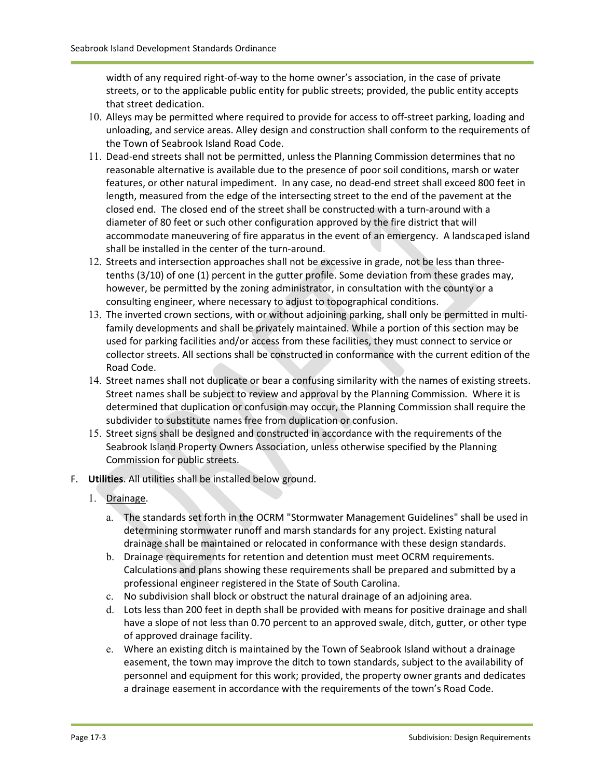width of any required right-of-way to the home owner's association, in the case of private streets, or to the applicable public entity for public streets; provided, the public entity accepts that street dedication.

- 10. Alleys may be permitted where required to provide for access to off-street parking, loading and unloading, and service areas. Alley design and construction shall conform to the requirements of the Town of Seabrook Island Road Code.
- 11. Dead-end streets shall not be permitted, unless the Planning Commission determines that no reasonable alternative is available due to the presence of poor soil conditions, marsh or water features, or other natural impediment. In any case, no dead-end street shall exceed 800 feet in length, measured from the edge of the intersecting street to the end of the pavement at the closed end. The closed end of the street shall be constructed with a turn-around with a diameter of 80 feet or such other configuration approved by the fire district that will accommodate maneuvering of fire apparatus in the event of an emergency. A landscaped island shall be installed in the center of the turn-around.
- 12. Streets and intersection approaches shall not be excessive in grade, not be less than threetenths (3/10) of one (1) percent in the gutter profile. Some deviation from these grades may, however, be permitted by the zoning administrator, in consultation with the county or a consulting engineer, where necessary to adjust to topographical conditions.
- 13. The inverted crown sections, with or without adjoining parking, shall only be permitted in multifamily developments and shall be privately maintained. While a portion of this section may be used for parking facilities and/or access from these facilities, they must connect to service or collector streets. All sections shall be constructed in conformance with the current edition of the Road Code.
- 14. Street names shall not duplicate or bear a confusing similarity with the names of existing streets. Street names shall be subject to review and approval by the Planning Commission. Where it is determined that duplication or confusion may occur, the Planning Commission shall require the subdivider to substitute names free from duplication or confusion.
- 15. Street signs shall be designed and constructed in accordance with the requirements of the Seabrook Island Property Owners Association, unless otherwise specified by the Planning Commission for public streets.
- F. **Utilities**. All utilities shall be installed below ground.
	- 1. Drainage.
		- a. The standards set forth in the OCRM "Stormwater Management Guidelines" shall be used in determining stormwater runoff and marsh standards for any project. Existing natural drainage shall be maintained or relocated in conformance with these design standards.
		- b. Drainage requirements for retention and detention must meet OCRM requirements. Calculations and plans showing these requirements shall be prepared and submitted by a professional engineer registered in the State of South Carolina.
		- c. No subdivision shall block or obstruct the natural drainage of an adjoining area.
		- d. Lots less than 200 feet in depth shall be provided with means for positive drainage and shall have a slope of not less than 0.70 percent to an approved swale, ditch, gutter, or other type of approved drainage facility.
		- e. Where an existing ditch is maintained by the Town of Seabrook Island without a drainage easement, the town may improve the ditch to town standards, subject to the availability of personnel and equipment for this work; provided, the property owner grants and dedicates a drainage easement in accordance with the requirements of the town's Road Code.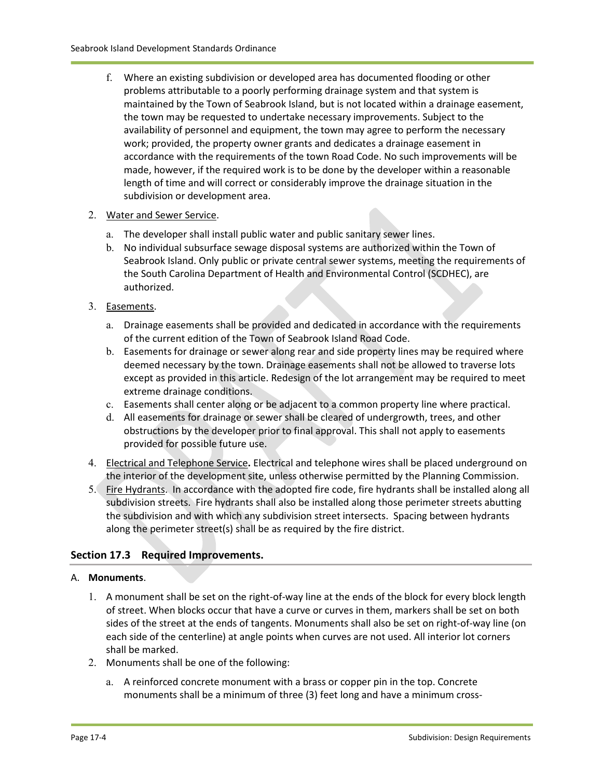f. Where an existing subdivision or developed area has documented flooding or other problems attributable to a poorly performing drainage system and that system is maintained by the Town of Seabrook Island, but is not located within a drainage easement, the town may be requested to undertake necessary improvements. Subject to the availability of personnel and equipment, the town may agree to perform the necessary work; provided, the property owner grants and dedicates a drainage easement in accordance with the requirements of the town Road Code. No such improvements will be made, however, if the required work is to be done by the developer within a reasonable length of time and will correct or considerably improve the drainage situation in the subdivision or development area.

#### 2. Water and Sewer Service.

- a. The developer shall install public water and public sanitary sewer lines.
- b. No individual subsurface sewage disposal systems are authorized within the Town of Seabrook Island. Only public or private central sewer systems, meeting the requirements of the South Carolina Department of Health and Environmental Control (SCDHEC), are authorized.
- 3. Easements.
	- a. Drainage easements shall be provided and dedicated in accordance with the requirements of the current edition of the Town of Seabrook Island Road Code.
	- b. Easements for drainage or sewer along rear and side property lines may be required where deemed necessary by the town. Drainage easements shall not be allowed to traverse lots except as provided in this article. Redesign of the lot arrangement may be required to meet extreme drainage conditions.
	- c. Easements shall center along or be adjacent to a common property line where practical.
	- d. All easements for drainage or sewer shall be cleared of undergrowth, trees, and other obstructions by the developer prior to final approval. This shall not apply to easements provided for possible future use.
- 4. Electrical and Telephone Service**.** Electrical and telephone wires shall be placed underground on the interior of the development site, unless otherwise permitted by the Planning Commission.
- 5. Fire Hydrants. In accordance with the adopted fire code, fire hydrants shall be installed along all subdivision streets. Fire hydrants shall also be installed along those perimeter streets abutting the subdivision and with which any subdivision street intersects. Spacing between hydrants along the perimeter street(s) shall be as required by the fire district.

#### **Section 17.3 Required Improvements.**

#### A. **Monuments**.

- 1. A monument shall be set on the right-of-way line at the ends of the block for every block length of street. When blocks occur that have a curve or curves in them, markers shall be set on both sides of the street at the ends of tangents. Monuments shall also be set on right-of-way line (on each side of the centerline) at angle points when curves are not used. All interior lot corners shall be marked.
- 2. Monuments shall be one of the following:
	- a. A reinforced concrete monument with a brass or copper pin in the top. Concrete monuments shall be a minimum of three (3) feet long and have a minimum cross-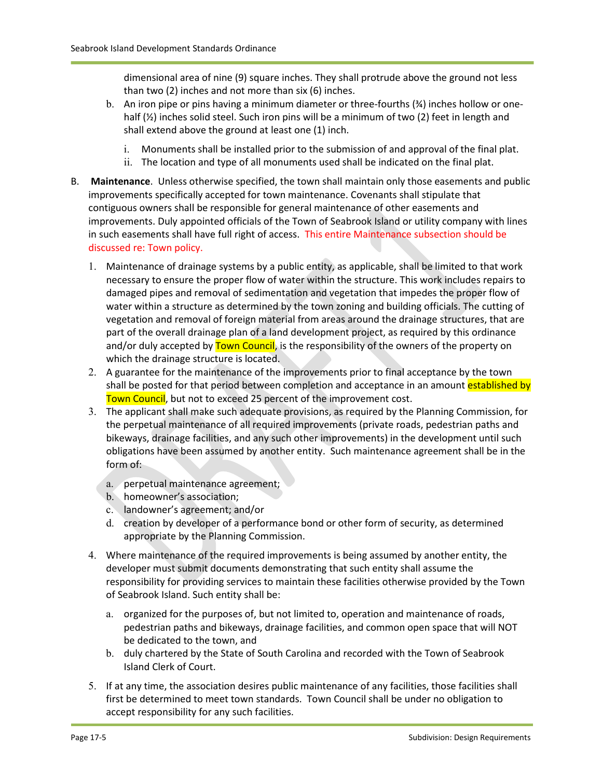dimensional area of nine (9) square inches. They shall protrude above the ground not less than two (2) inches and not more than six (6) inches.

- b. An iron pipe or pins having a minimum diameter or three-fourths (%) inches hollow or onehalf (1/2) inches solid steel. Such iron pins will be a minimum of two (2) feet in length and shall extend above the ground at least one (1) inch.
	- i. Monuments shall be installed prior to the submission of and approval of the final plat.
	- ii. The location and type of all monuments used shall be indicated on the final plat.
- B. **Maintenance**. Unless otherwise specified, the town shall maintain only those easements and public improvements specifically accepted for town maintenance. Covenants shall stipulate that contiguous owners shall be responsible for general maintenance of other easements and improvements. Duly appointed officials of the Town of Seabrook Island or utility company with lines in such easements shall have full right of access. This entire Maintenance subsection should be discussed re: Town policy.
	- 1. Maintenance of drainage systems by a public entity, as applicable, shall be limited to that work necessary to ensure the proper flow of water within the structure. This work includes repairs to damaged pipes and removal of sedimentation and vegetation that impedes the proper flow of water within a structure as determined by the town zoning and building officials. The cutting of vegetation and removal of foreign material from areas around the drainage structures, that are part of the overall drainage plan of a land development project, as required by this ordinance and/or duly accepted by **Town Council**, is the responsibility of the owners of the property on which the drainage structure is located.
	- 2. A guarantee for the maintenance of the improvements prior to final acceptance by the town shall be posted for that period between completion and acceptance in an amount established by Town Council, but not to exceed 25 percent of the improvement cost.
	- 3. The applicant shall make such adequate provisions, as required by the Planning Commission, for the perpetual maintenance of all required improvements (private roads, pedestrian paths and bikeways, drainage facilities, and any such other improvements) in the development until such obligations have been assumed by another entity. Such maintenance agreement shall be in the form of:
		- a. perpetual maintenance agreement;
		- b. homeowner's association;
		- c. landowner's agreement; and/or
		- d. creation by developer of a performance bond or other form of security, as determined appropriate by the Planning Commission.
	- 4. Where maintenance of the required improvements is being assumed by another entity, the developer must submit documents demonstrating that such entity shall assume the responsibility for providing services to maintain these facilities otherwise provided by the Town of Seabrook Island. Such entity shall be:
		- a. organized for the purposes of, but not limited to, operation and maintenance of roads, pedestrian paths and bikeways, drainage facilities, and common open space that will NOT be dedicated to the town, and
		- b. duly chartered by the State of South Carolina and recorded with the Town of Seabrook Island Clerk of Court.
	- 5. If at any time, the association desires public maintenance of any facilities, those facilities shall first be determined to meet town standards. Town Council shall be under no obligation to accept responsibility for any such facilities.